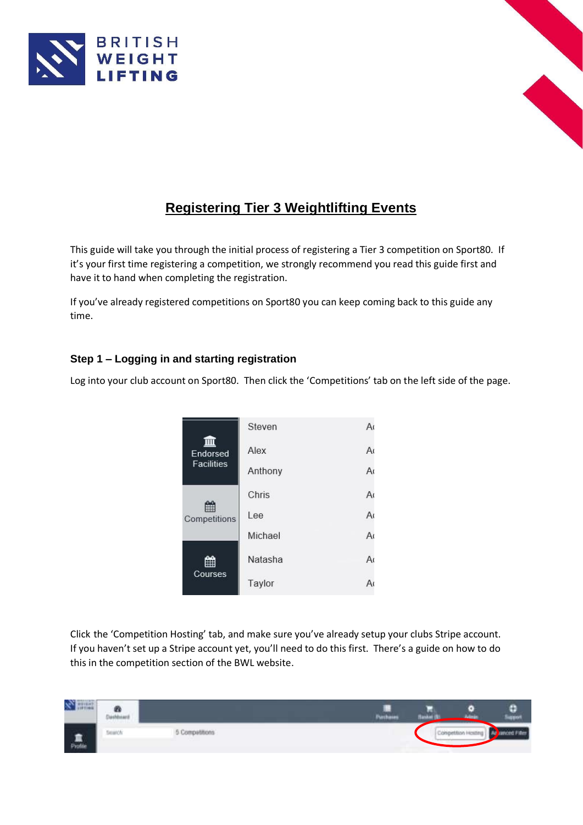



# **Registering Tier 3 Weightlifting Events**

This guide will take you through the initial process of registering a Tier 3 competition on Sport80. If it's your first time registering a competition, we strongly recommend you read this guide first and have it to hand when completing the registration.

If you've already registered competitions on Sport80 you can keep coming back to this guide any time.

## **Step 1 – Logging in and starting registration**

Log into your club account on Sport80. Then click the 'Competitions' tab on the left side of the page.

| Endorsed          | Steven  | A              |
|-------------------|---------|----------------|
|                   | Alex    | A <sub>0</sub> |
| <b>Facilities</b> | Anthony | A <sub>0</sub> |
|                   | Chris   | A <sub>0</sub> |
| 鹽<br>Competitions | Lee     | A <sub>0</sub> |
|                   | Michael | A <sub>0</sub> |
| Courses           | Natasha | A <sub>0</sub> |
|                   | Taylor  | А              |

Click the 'Competition Hosting' tab, and make sure you've already setup your clubs Stripe account. If you haven't set up a Stripe account yet, you'll need to do this first. There's a guide on how to do this in the competition section of the BWL website.

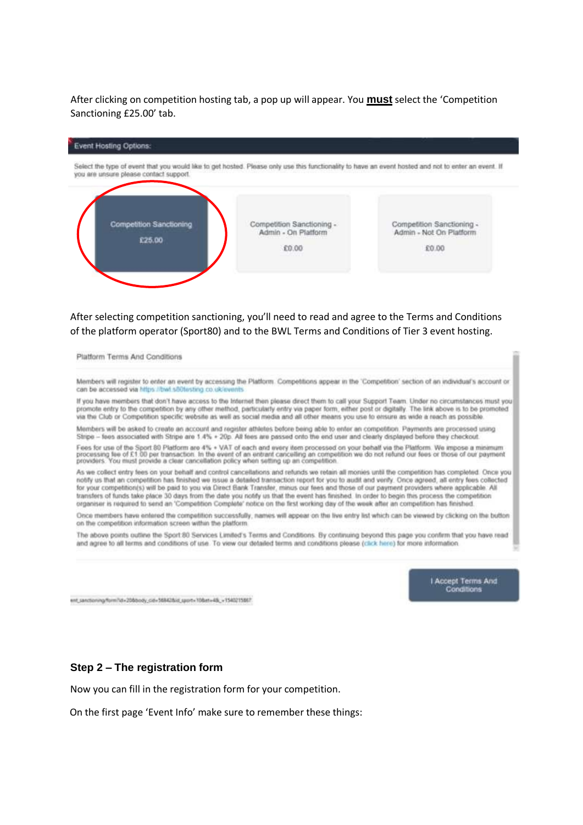## After clicking on competition hosting tab, a pop up will appear. You **must** select the 'Competition Sanctioning £25.00' tab.



## After selecting competition sanctioning, you'll need to read and agree to the Terms and Conditions of the platform operator (Sport80) and to the BWL Terms and Conditions of Tier 3 event hosting.

Platform Terms And Conditions

Members will register to enter an event by accessing the Platform. Competitions appear in the 'Competition' section of an individual's account or can be accessed via https://twi.sö0testing.co.uk/ev

If you have members that don't have access to the Internet then please direct them to call your Support Team. Under no circumstances must you promote entry to the competition by any other method, particularly entry via paper form, either post or digitally. The link above is to be promoted via the Club or Competition specific website as well as social media and all other means you use to ensure as wide a reach as possible.

Members will be asked to create an account and register athletes before being able to enter an competition. Payments are processed using Stripe - fees associated with Stripe are 1.4% + 20p. All fees are passed onto the end user and clearly displayed before they checkout.

Fees for use of the Sport 80 Platform are 4% + VAT of each and every item processed on your behalf via the Platform. We impose a minimum<br>processing fee of £1.00 per transaction. In the event of an entrant cancelling an com

As we collect entry fees on your behalf and control cancellations and refunds we retain all monies until the competition has completed. Once you notify us that an competition has finished we issue a detailed transaction report for you to audit and verify. Once agreed, all entry fees collected for your competition(s) will be paid to you via Direct Bank Transfer, minus our fees and those of our payment providers where applicable. All transfers of funds take place 30 days from the date you notify us that the event has finished. In order to begin this process the competition organiser is required to send an 'Competition Complete' notice on the first working day of the week after an competition has finished.

Once members have entered the competition successfully, nanves will appear on the live entry list which can be viewed by clicking on the button on the competition information screen within the platform

The above points outline the Sport 80 Services Limited's Terms and Conditions. By continuing beyond this page you confirm that you have read and agree to all terms and conditions of use. To yew our detailed terms and conditions please (click here) for more information

> Accept Terms And Conditions

ent\_sanctioning/form7id=208doody\_cid=568428/d\_sport=108at=48\_+1540215867

#### **Step 2 – The registration form**

Now you can fill in the registration form for your competition.

On the first page 'Event Info' make sure to remember these things: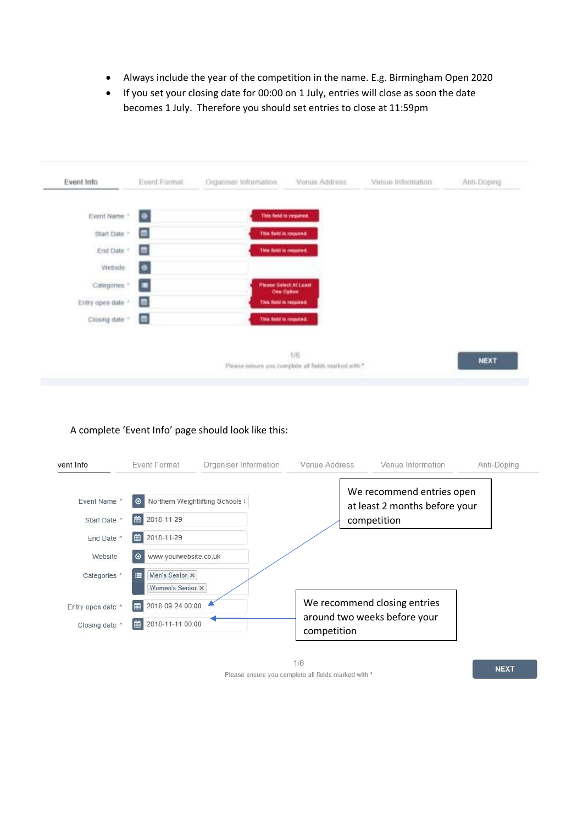- Always include the year of the competition in the name. E.g. Birmingham Open 2020
- If you set your closing date for 00:00 on 1 July, entries will close as soon the date becomes 1 July. Therefore you should set entries to close at 11:59pm



## A complete 'Event Info' page should look like this:

| vent Info             | <b>Event Format</b>                     | Organiser Information            | Venue Address | Venue Information                                          | Anti-Doping |
|-----------------------|-----------------------------------------|----------------------------------|---------------|------------------------------------------------------------|-------------|
| Event Name *          | ⊕                                       | Northern Weightlifting Schools ( |               | We recommend entries open<br>at least 2 months before your |             |
| Start Date *          | 2018-11-29<br>⊯                         |                                  |               | competition                                                |             |
| End Date <sup>*</sup> | 2018-11-29<br>⊯ا                        |                                  |               |                                                            |             |
| Website               | www.yourwebsite.co.uk<br>$\Theta$       |                                  |               |                                                            |             |
| Categories *          | Men's Senior X<br>Е<br>Women's Senior x |                                  |               |                                                            |             |
| Entry open date       | 2018-09-24 00:00<br>■                   |                                  |               | We recommend closing entries                               |             |
| Closing date *        | 曲<br>2018-11-11 00:00                   |                                  | competition   | around two weeks before your                               |             |

 $1/6$ Please ensure you complete all fields marked with \*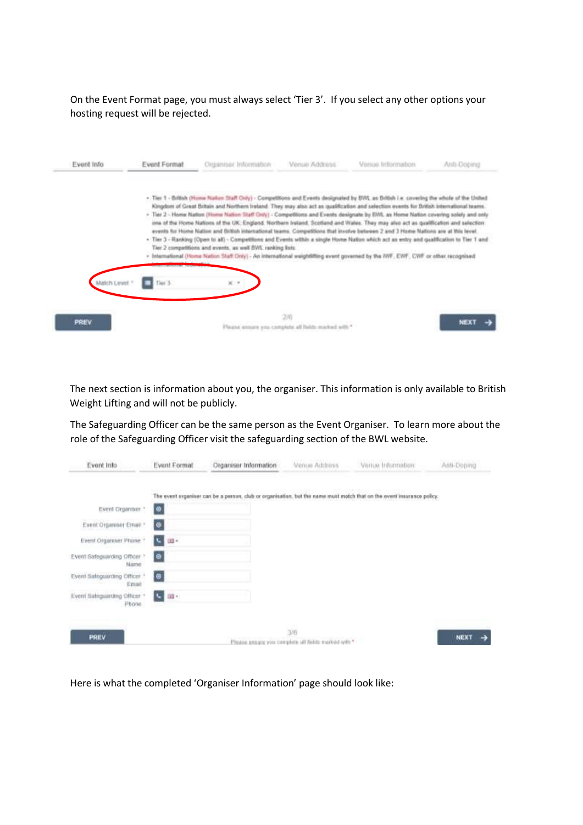On the Event Format page, you must always select 'Tier 3'. If you select any other options your hosting request will be rejected.

| Event Info    | Event Format | Origanisar Information                                                                                                                                                                                                                                                                                                                                                                                                                                                                                                                                                                                                                                                                                                                                                                                                                                                                                                                                                                                                                                  | Venue Address                                              | Venus Information | Arifi-Dobing |
|---------------|--------------|---------------------------------------------------------------------------------------------------------------------------------------------------------------------------------------------------------------------------------------------------------------------------------------------------------------------------------------------------------------------------------------------------------------------------------------------------------------------------------------------------------------------------------------------------------------------------------------------------------------------------------------------------------------------------------------------------------------------------------------------------------------------------------------------------------------------------------------------------------------------------------------------------------------------------------------------------------------------------------------------------------------------------------------------------------|------------------------------------------------------------|-------------------|--------------|
|               |              | - Tier 1 - British (Home Nation Staff Only) - Competitions and Events designated by BWL as British i.e. covering the whole of the United<br>Kingdom of Great Britain and Northern Ireland. They may also act as qualification and selection events for British international teams.<br>- Tier 2 - Home Nation (Home Nation Staff Only) - Competitions and Events designate by EWI, as Home Nation covering solely and only<br>one of the Horne Nations of the UK: England, Northern Ireland, Scotland and Wales. They may also act as qualification and selection<br>events for Home Nation and Biltish international teams. Competitions that involve between 2 and 3 Home Nations are at this level.<br>- Tier 3 - Ranking (Open to all) - Competitions and Events within a single Home Nation which act as entry and qualification to Tier 1 and<br>Tier 2 competitions and events, as well DVIL ranking lists.<br>- International (Home Nation Staff Only) - An international weightlifting event governed by the NVF, EWF, CWF or other recognised |                                                            |                   |              |
| Match Level * | Tiel 3.      | $\times$                                                                                                                                                                                                                                                                                                                                                                                                                                                                                                                                                                                                                                                                                                                                                                                                                                                                                                                                                                                                                                                |                                                            |                   |              |
| <b>PREV</b>   |              |                                                                                                                                                                                                                                                                                                                                                                                                                                                                                                                                                                                                                                                                                                                                                                                                                                                                                                                                                                                                                                                         | 200<br>Please ensure you complete all fields marked with * |                   | NEXT         |

The next section is information about you, the organiser. This information is only available to British Weight Lifting and will not be publicly.

The Safeguarding Officer can be the same person as the Event Organiser. To learn more about the role of the Safeguarding Officer visit the safeguarding section of the BWL website.

| Event Info                                        | Event Format   | Organiser Information                                                                                                  | Venue Address                                              | Verius Information | Anti-Doping |
|---------------------------------------------------|----------------|------------------------------------------------------------------------------------------------------------------------|------------------------------------------------------------|--------------------|-------------|
|                                                   |                | The event organiser can be a person, club or organisation, but the name must motch that on the event insurance policy. |                                                            |                    |             |
| Event Organiser."                                 | $\bullet$      |                                                                                                                        |                                                            |                    |             |
| Event Organiser Email *                           | $\bullet$      |                                                                                                                        |                                                            |                    |             |
| Event Cirganiser Phone -                          | iC.<br>in-     |                                                                                                                        |                                                            |                    |             |
| Event Safeguarding Officer ?<br>Name              | $\circledcirc$ |                                                                                                                        |                                                            |                    |             |
| Event Safeguarding Officer. <sup>+</sup><br>Email | $\bullet$      |                                                                                                                        |                                                            |                    |             |
| Event Sateguarding Officer<br>Phone               | 58 v<br>×.     |                                                                                                                        |                                                            |                    |             |
|                                                   |                |                                                                                                                        | n.                                                         |                    |             |
| PREV                                              |                |                                                                                                                        | 3/6<br>Please smaars you complete all fields marked with * |                    | NEXT        |

Here is what the completed 'Organiser Information' page should look like: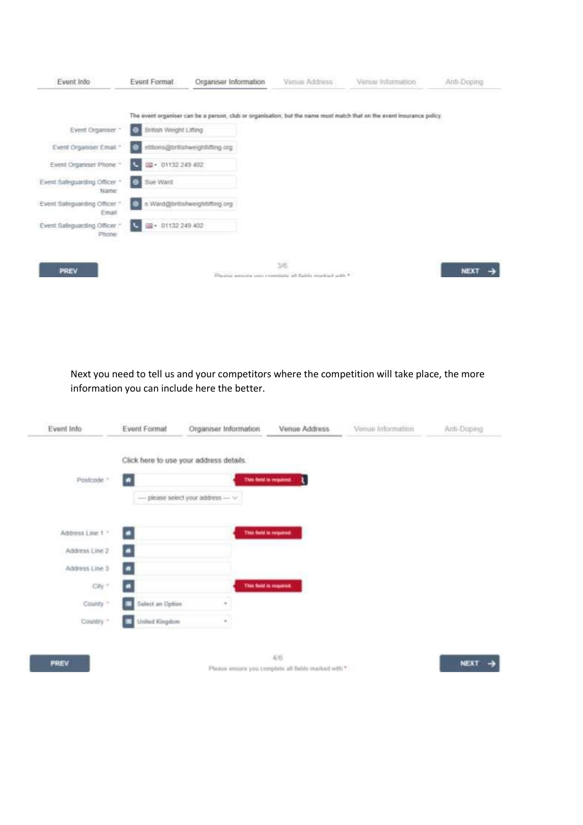| Event Info                            | <b>Event Format</b>                | Organiser Information                                                                                                  | Venue Address                                                          | Venue Information | Anti-Doging |
|---------------------------------------|------------------------------------|------------------------------------------------------------------------------------------------------------------------|------------------------------------------------------------------------|-------------------|-------------|
|                                       |                                    | The event organiser can be a person, club or organisation, but the name must match that on the event insurance policy. |                                                                        |                   |             |
| Event Organiser ~                     | <b>British Weight Lifting</b><br>е |                                                                                                                        |                                                                        |                   |             |
| Event Organiser Email *               | ï۵                                 | etitions@britishweightlifting.org                                                                                      |                                                                        |                   |             |
| Event Organiser Phone *               | IB + 01132 249 402                 |                                                                                                                        |                                                                        |                   |             |
| Event Safeguarding Officer "<br>Name: | Sue Ward<br>е                      |                                                                                                                        |                                                                        |                   |             |
| Event Safeguarding Officer<br>Email   | ю                                  | e.Ward@britishweightlifting.org                                                                                        |                                                                        |                   |             |
| Event Safeguarding Officer<br>Phone   | 图 · 01132 249 402                  |                                                                                                                        |                                                                        |                   |             |
| PREV                                  |                                    |                                                                                                                        | 36<br>Plazzo genera una completa al falcio mortari utili. <sup>9</sup> |                   | <b>NEXT</b> |

Next you need to tell us and your competitors where the competition will take place, the more information you can include here the better.

| Event Info       | <b>Event Format</b>   | Organiser Information                       | Venue Address                                       | Venue Information | Anti-Doping |
|------------------|-----------------------|---------------------------------------------|-----------------------------------------------------|-------------------|-------------|
|                  |                       | Click here to use your address details.     |                                                     |                   |             |
| Postcode ~       | $\bullet$             |                                             | This field is required.<br>u                        |                   |             |
|                  |                       | -please select your address $\cdots$ $\vee$ |                                                     |                   |             |
| Address Line 1 * | $\bullet$             |                                             | This field is required.                             |                   |             |
|                  |                       |                                             |                                                     |                   |             |
| Address Line 2   | $\bullet$             |                                             |                                                     |                   |             |
| Address Line 3   | $\bullet$             |                                             |                                                     |                   |             |
| City."           | $\blacksquare$        |                                             | This field is required.                             |                   |             |
| County."         | Salect an Option<br>▬ |                                             |                                                     |                   |             |
| Country."        | United Kingdom        |                                             |                                                     |                   |             |
|                  |                       |                                             |                                                     |                   |             |
| PREV             |                       |                                             | 476                                                 |                   | <b>NEXT</b> |
|                  |                       |                                             | Please ensure you complete all fields marked with * |                   |             |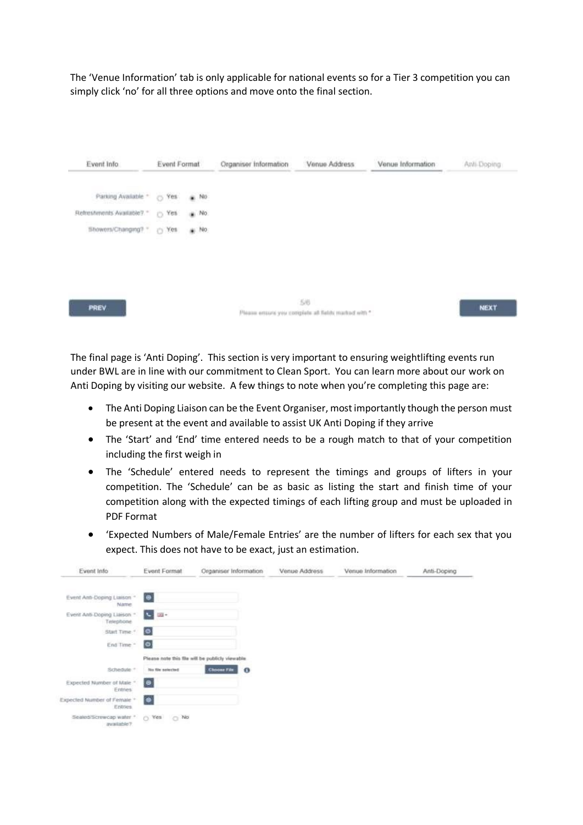The 'Venue Information' tab is only applicable for national events so for a Tier 3 competition you can simply click 'no' for all three options and move onto the final section.



The final page is 'Anti Doping'. This section is very important to ensuring weightlifting events run under BWL are in line with our commitment to Clean Sport. You can learn more about our work on Anti Doping by visiting our website. A few things to note when you're completing this page are:

- The Anti Doping Liaison can be the Event Organiser, most importantly though the person must be present at the event and available to assist UK Anti Doping if they arrive
- The 'Start' and 'End' time entered needs to be a rough match to that of your competition including the first weigh in
- The 'Schedule' entered needs to represent the timings and groups of lifters in your competition. The 'Schedule' can be as basic as listing the start and finish time of your competition along with the expected timings of each lifting group and must be uploaded in PDF Format
- 'Expected Numbers of Male/Female Entries' are the number of lifters for each sex that you expect. This does not have to be exact, just an estimation.

| Event Info                               | Event Format           | Organiser Information                            | Venue Address | Venue Information | Anti-Doping |
|------------------------------------------|------------------------|--------------------------------------------------|---------------|-------------------|-------------|
| Event Anti-Doping Liaison ~<br>Name.     | $\oplus$               |                                                  |               |                   |             |
| Event Anti-Doping Liaison *<br>Telephone | <b>College</b>         |                                                  |               |                   |             |
| Start Time."                             | $\bullet$              |                                                  |               |                   |             |
| End Time -                               | $\bullet$              |                                                  |               |                   |             |
|                                          |                        | Please note this file will be publicly viewable. |               |                   |             |
| Schedule:"                               | No file selected       | <b>Choose File</b><br>$\bullet$                  |               |                   |             |
| Expected Number of Male."<br>Entries:    | $\bullet$              |                                                  |               |                   |             |
| Expected Number of Female *<br>Eritries  | $\bullet$              |                                                  |               |                   |             |
| Sealed/Screwcap water *<br>available?    | O Yes<br>$\bigcirc$ No |                                                  |               |                   |             |